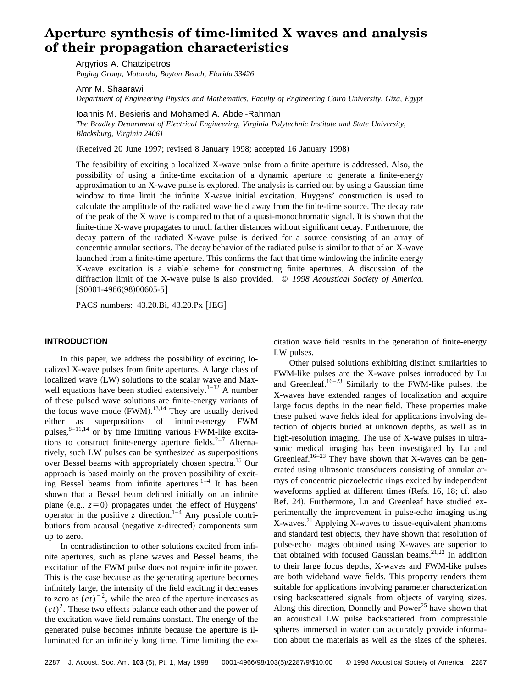# **Aperture synthesis of time-limited X waves and analysis of their propagation characteristics**

Argyrios A. Chatzipetros *Paging Group, Motorola, Boyton Beach, Florida 33426*

Amr M. Shaarawi *Department of Engineering Physics and Mathematics, Faculty of Engineering Cairo University, Giza, Egypt*

Ioannis M. Besieris and Mohamed A. Abdel-Rahman

*The Bradley Department of Electrical Engineering, Virginia Polytechnic Institute and State University, Blacksburg, Virginia 24061*

(Received 20 June 1997; revised 8 January 1998; accepted 16 January 1998)

The feasibility of exciting a localized X-wave pulse from a finite aperture is addressed. Also, the possibility of using a finite-time excitation of a dynamic aperture to generate a finite-energy approximation to an X-wave pulse is explored. The analysis is carried out by using a Gaussian time window to time limit the infinite X-wave initial excitation. Huygens' construction is used to calculate the amplitude of the radiated wave field away from the finite-time source. The decay rate of the peak of the X wave is compared to that of a quasi-monochromatic signal. It is shown that the finite-time X-wave propagates to much farther distances without significant decay. Furthermore, the decay pattern of the radiated X-wave pulse is derived for a source consisting of an array of concentric annular sections. The decay behavior of the radiated pulse is similar to that of an X-wave launched from a finite-time aperture. This confirms the fact that time windowing the infinite energy X-wave excitation is a viable scheme for constructing finite apertures. A discussion of the diffraction limit of the X-wave pulse is also provided. © *1998 Acoustical Society of America.*  $[$ S0001-4966(98)00605-5 $]$ 

PACS numbers: 43.20.Bi, 43.20.Px [JEG]

# **INTRODUCTION**

In this paper, we address the possibility of exciting localized X-wave pulses from finite apertures. A large class of localized wave (LW) solutions to the scalar wave and Maxwell equations have been studied extensively.<sup> $1-12$ </sup> A number of these pulsed wave solutions are finite-energy variants of the focus wave mode  $(FWM)$ .<sup>13,14</sup> They are usually derived either as superpositions of infinite-energy FWM pulses,  $8-11,14$  or by time limiting various FWM-like excitations to construct finite-energy aperture fields.<sup>2–7</sup> Alternatively, such LW pulses can be synthesized as superpositions over Bessel beams with appropriately chosen spectra.<sup>15</sup> Our approach is based mainly on the proven possibility of exciting Bessel beams from infinite apertures. $1-4$  It has been shown that a Bessel beam defined initially on an infinite plane (e.g.,  $z=0$ ) propagates under the effect of Huygens' operator in the positive  $z$  direction.<sup>1–4</sup> Any possible contributions from acausal (negative  $z$ -directed) components sum up to zero.

In contradistinction to other solutions excited from infinite apertures, such as plane waves and Bessel beams, the excitation of the FWM pulse does not require infinite power. This is the case because as the generating aperture becomes infinitely large, the intensity of the field exciting it decreases to zero as  $(ct)^{-2}$ , while the area of the aperture increases as  $(ct)^2$ . These two effects balance each other and the power of the excitation wave field remains constant. The energy of the generated pulse becomes infinite because the aperture is illuminated for an infinitely long time. Time limiting the excitation wave field results in the generation of finite-energy LW pulses.

Other pulsed solutions exhibiting distinct similarities to FWM-like pulses are the X-wave pulses introduced by Lu and Greenleaf.<sup>16–23</sup> Similarly to the FWM-like pulses, the X-waves have extended ranges of localization and acquire large focus depths in the near field. These properties make these pulsed wave fields ideal for applications involving detection of objects buried at unknown depths, as well as in high-resolution imaging. The use of X-wave pulses in ultrasonic medical imaging has been investigated by Lu and Greenleaf.<sup>16–23</sup> They have shown that X-waves can be generated using ultrasonic transducers consisting of annular arrays of concentric piezoelectric rings excited by independent waveforms applied at different times  $(Refs. 16, 18; cf. also$ Ref. 24). Furthermore, Lu and Greenleaf have studied experimentally the improvement in pulse-echo imaging using X-waves.21 Applying X-waves to tissue-equivalent phantoms and standard test objects, they have shown that resolution of pulse-echo images obtained using X-waves are superior to that obtained with focused Gaussian beams.<sup>21,22</sup> In addition to their large focus depths, X-waves and FWM-like pulses are both wideband wave fields. This property renders them suitable for applications involving parameter characterization using backscattered signals from objects of varying sizes. Along this direction, Donnelly and Power<sup>25</sup> have shown that an acoustical LW pulse backscattered from compressible spheres immersed in water can accurately provide information about the materials as well as the sizes of the spheres.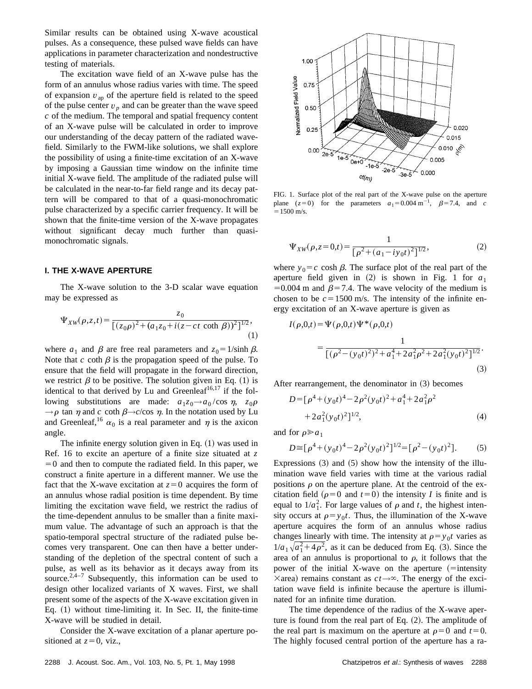Similar results can be obtained using X-wave acoustical pulses. As a consequence, these pulsed wave fields can have applications in parameter characterization and nondestructive testing of materials.

The excitation wave field of an X-wave pulse has the form of an annulus whose radius varies with time. The speed of expansion  $v_{ap}$  of the aperture field is related to the speed of the pulse center  $v_p$  and can be greater than the wave speed *c* of the medium. The temporal and spatial frequency content of an X-wave pulse will be calculated in order to improve our understanding of the decay pattern of the radiated wavefield. Similarly to the FWM-like solutions, we shall explore the possibility of using a finite-time excitation of an X-wave by imposing a Gaussian time window on the infinite time initial X-wave field. The amplitude of the radiated pulse will be calculated in the near-to-far field range and its decay pattern will be compared to that of a quasi-monochromatic pulse characterized by a specific carrier frequency. It will be shown that the finite-time version of the X-wave propagates without significant decay much further than quasimonochromatic signals.

### **I. THE X-WAVE APERTURE**

The X-wave solution to the 3-D scalar wave equation may be expressed as

$$
\Psi_{XW}(\rho, z, t) = \frac{z_0}{[(z_0\rho)^2 + (a_1z_0 + i(z - ct \coth \beta))^2]^{1/2}},
$$
\n(1)

where  $a_1$  and  $\beta$  are free real parameters and  $z_0 = 1/\sinh \beta$ . Note that  $c$  coth  $\beta$  is the propagation speed of the pulse. To ensure that the field will propagate in the forward direction, we restrict  $\beta$  to be positive. The solution given in Eq. (1) is identical to that derived by Lu and Greenleaf<sup>16,17</sup> if the following substitutions are made:  $a_1z_0 \rightarrow a_0 / \cos \eta$ ,  $z_0 \rho$  $\rightarrow \rho$  tan  $\eta$  and *c* coth  $\beta \rightarrow c$ /cos  $\eta$ . In the notation used by Lu and Greenleaf,<sup>16</sup>  $\alpha_0$  is a real parameter and  $\eta$  is the axicon angle.

The infinite energy solution given in Eq.  $(1)$  was used in Ref. 16 to excite an aperture of a finite size situated at *z*  $=0$  and then to compute the radiated field. In this paper, we construct a finite aperture in a different manner. We use the fact that the X-wave excitation at  $z=0$  acquires the form of an annulus whose radial position is time dependent. By time limiting the excitation wave field, we restrict the radius of the time-dependent annulus to be smaller than a finite maximum value. The advantage of such an approach is that the spatio-temporal spectral structure of the radiated pulse becomes very transparent. One can then have a better understanding of the depletion of the spectral content of such a pulse, as well as its behavior as it decays away from its source. $2,4-7$  Subsequently, this information can be used to design other localized variants of X waves. First, we shall present some of the aspects of the X-wave excitation given in Eq.  $(1)$  without time-limiting it. In Sec. II, the finite-time X-wave will be studied in detail.

Consider the X-wave excitation of a planar aperture positioned at  $z=0$ , viz.,



FIG. 1. Surface plot of the real part of the X-wave pulse on the aperture plane  $(z=0)$  for the parameters  $a_1=0.004$  m<sup>-1</sup>,  $\beta=7.4$ , and *c*  $=1500$  m/s.

$$
\Psi_{XW}(\rho, z=0, t) = \frac{1}{[\rho^2 + (a_1 - iy_0 t)^2]^{1/2}},
$$
\n(2)

where  $y_0 = c \cosh \beta$ . The surface plot of the real part of the aperture field given in  $(2)$  is shown in Fig. 1 for  $a_1$  $=0.004$  m and  $\beta=7.4$ . The wave velocity of the medium is chosen to be  $c = 1500$  m/s. The intensity of the infinite energy excitation of an X-wave aperture is given as

$$
I(\rho,0,t) = \Psi(\rho,0,t)\Psi^*(\rho,0,t)
$$
  
= 
$$
\frac{1}{[(\rho^2 - (y_0 t)^2)^2 + a_1^4 + 2a_1^2 \rho^2 + 2a_1^2 (y_0 t)^2]^{1/2}}.
$$
  
(3)

After rearrangement, the denominator in  $(3)$  becomes

$$
D = [\rho^4 + (y_0 t)^4 - 2\rho^2 (y_0 t)^2 + a_1^4 + 2a_1^2 \rho^2
$$
  
+ 2a\_1^2 (y\_0 t)^2]^{1/2}, \t(4)

and for  $\rho \ge a_1$ 

$$
D \cong [\rho^4 + (y_0 t)^4 - 2\rho^2 (y_0 t)^2]^{1/2} = [\rho^2 - (y_0 t)^2].
$$
 (5)

Expressions  $(3)$  and  $(5)$  show how the intensity of the illumination wave field varies with time at the various radial positions  $\rho$  on the aperture plane. At the centroid of the excitation field ( $\rho=0$  and  $t=0$ ) the intensity *I* is finite and is equal to  $1/a_1^2$ . For large values of  $\rho$  and *t*, the highest intensity occurs at  $\rho = y_0 t$ . Thus, the illumination of the X-wave aperture acquires the form of an annulus whose radius changes linearly with time. The intensity at  $\rho = y_0 t$  varies as  $1/a_1 \sqrt{a_1^2 + 4\rho^2}$ , as it can be deduced from Eq. (3). Since the area of an annulus is proportional to  $\rho$ , it follows that the power of the initial X-wave on the aperture  $(=$ intensity  $\times$ area) remains constant as  $ct \rightarrow \infty$ . The energy of the excitation wave field is infinite because the aperture is illuminated for an infinite time duration.

The time dependence of the radius of the X-wave aperture is found from the real part of Eq.  $(2)$ . The amplitude of the real part is maximum on the aperture at  $\rho=0$  and  $t=0$ . The highly focused central portion of the aperture has a ra-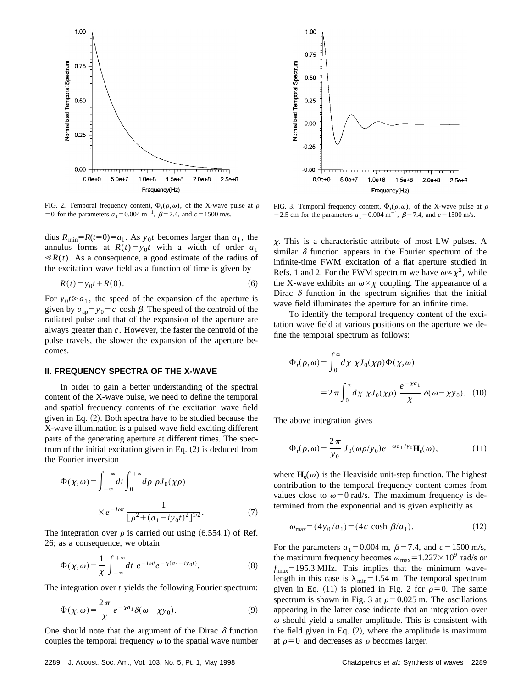

FIG. 2. Temporal frequency content,  $\Phi_t(\rho,\omega)$ , of the X-wave pulse at  $\rho$ = 0 for the parameters  $a_1 = 0.004$  m<sup>-1</sup>,  $\beta = 7.4$ , and  $c = 1500$  m/s.

dius  $R_{\text{min}} = R(t=0) = a_1$ . As  $y_0 t$  becomes larger than  $a_1$ , the annulus forms at  $R(t) = y_0 t$  with a width of order  $a_1$  $\ll R(t)$ . As a consequence, a good estimate of the radius of the excitation wave field as a function of time is given by

$$
R(t) = y_0 t + R(0).
$$
 (6)

For  $y_0 t \ge a_1$ , the speed of the expansion of the aperture is given by  $v_{\text{ap}} = y_0 = c \cosh \beta$ . The speed of the centroid of the radiated pulse and that of the expansion of the aperture are always greater than *c*. However, the faster the centroid of the pulse travels, the slower the expansion of the aperture becomes.

#### **II. FREQUENCY SPECTRA OF THE X-WAVE**

In order to gain a better understanding of the spectral content of the X-wave pulse, we need to define the temporal and spatial frequency contents of the excitation wave field given in Eq.  $(2)$ . Both spectra have to be studied because the X-wave illumination is a pulsed wave field exciting different parts of the generating aperture at different times. The spectrum of the initial excitation given in Eq.  $(2)$  is deduced from the Fourier inversion

$$
\Phi(\chi,\omega) = \int_{-\infty}^{+\infty} dt \int_0^{+\infty} d\rho \, \rho J_0(\chi\rho)
$$

$$
\times e^{-i\omega t} \frac{1}{\left[\rho^2 + (a_1 - iy_0 t)^2\right]^{1/2}}.
$$
\n(7)

The integration over  $\rho$  is carried out using  $(6.554.1)$  of Ref. 26; as a consequence, we obtain

$$
\Phi(\chi,\omega) = \frac{1}{\chi} \int_{-\infty}^{+\infty} dt \ e^{-i\omega t} e^{-\chi(a_1 - iy_0 t)}.
$$
 (8)

The integration over *t* yields the following Fourier spectrum:

$$
\Phi(\chi,\omega) = \frac{2\pi}{\chi} e^{-\chi a_1} \delta(\omega - \chi y_0).
$$
\n(9)

One should note that the argument of the Dirac  $\delta$  function couples the temporal frequency  $\omega$  to the spatial wave number



FIG. 3. Temporal frequency content,  $\Phi_t(\rho,\omega)$ , of the X-wave pulse at  $\rho$ = 2.5 cm for the parameters  $a_1 = 0.004$  m<sup>-1</sup>,  $\beta = 7.4$ , and  $c = 1500$  m/s.

 $\chi$ . This is a characteristic attribute of most LW pulses. A similar  $\delta$  function appears in the Fourier spectrum of the infinite-time FWM excitation of a flat aperture studied in Refs. 1 and 2. For the FWM spectrum we have  $\omega \propto \chi^2$ , while the X-wave exhibits an  $\omega \propto \chi$  coupling. The appearance of a Dirac  $\delta$  function in the spectrum signifies that the initial wave field illuminates the aperture for an infinite time.

To identify the temporal frequency content of the excitation wave field at various positions on the aperture we define the temporal spectrum as follows:

$$
\Phi_t(\rho, \omega) = \int_0^\infty d\chi \ \chi J_0(\chi \rho) \Phi(\chi, \omega)
$$
  
=  $2\pi \int_0^\infty d\chi \ \chi J_0(\chi \rho) \frac{e^{-\chi a_1}}{\chi} \ \delta(\omega - \chi y_0).$  (10)

The above integration gives

$$
\Phi_t(\rho,\omega) = \frac{2\pi}{y_0} J_0(\omega\rho/y_0) e^{-\omega a_1/y_0} \mathbf{H}_s(\omega),
$$
\n(11)

where  $H_s(\omega)$  is the Heaviside unit-step function. The highest contribution to the temporal frequency content comes from values close to  $\omega=0$  rad/s. The maximum frequency is determined from the exponential and is given explicitly as

$$
\omega_{\text{max}} = (4y_0/a_1) = (4c \cosh \beta/a_1). \tag{12}
$$

For the parameters  $a_1 = 0.004$  m,  $\beta = 7.4$ , and  $c = 1500$  m/s, the maximum frequency becomes  $\omega_{\text{max}}=1.227\times10^9$  rad/s or  $f_{\text{max}}$ =195.3 MHz. This implies that the minimum wavelength in this case is  $\lambda_{\text{min}}=1.54$  m. The temporal spectrum given in Eq. (11) is plotted in Fig. 2 for  $\rho=0$ . The same spectrum is shown in Fig. 3 at  $\rho$ =0.025 m. The oscillations appearing in the latter case indicate that an integration over  $\omega$  should yield a smaller amplitude. This is consistent with the field given in Eq.  $(2)$ , where the amplitude is maximum at  $\rho=0$  and decreases as  $\rho$  becomes larger.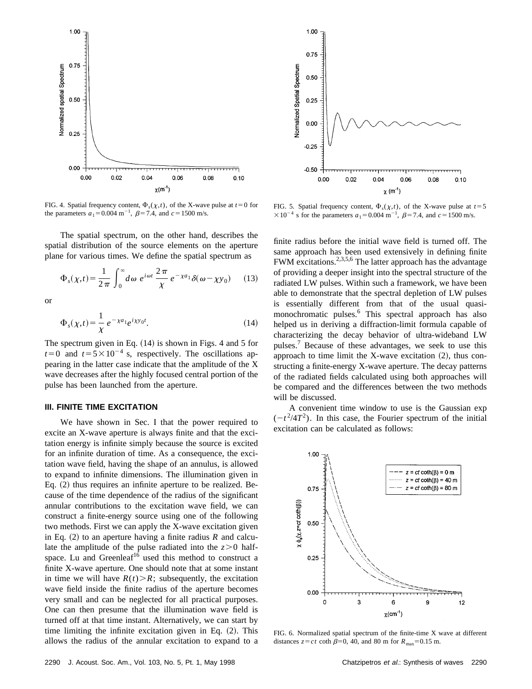

FIG. 4. Spatial frequency content,  $\Phi_s(\chi,t)$ , of the X-wave pulse at  $t=0$  for the parameters  $a_1 = 0.004$  m<sup>-1</sup>,  $\beta = 7.4$ , and  $c = 1500$  m/s.

The spatial spectrum, on the other hand, describes the spatial distribution of the source elements on the aperture plane for various times. We define the spatial spectrum as

$$
\Phi_s(\chi,t) = \frac{1}{2\,\pi} \int_0^\infty d\omega \ e^{i\omega t} \frac{2\,\pi}{\chi} \ e^{-\chi a_1} \delta(\omega - \chi y_0) \tag{13}
$$

or

$$
\Phi_s(\chi, t) = \frac{1}{\chi} e^{-\chi a_1} e^{i\chi y_0 t}.
$$
\n(14)

The spectrum given in Eq.  $(14)$  is shown in Figs. 4 and 5 for  $t=0$  and  $t=5\times10^{-4}$  s, respectively. The oscillations appearing in the latter case indicate that the amplitude of the X wave decreases after the highly focused central portion of the pulse has been launched from the aperture.

## **III. FINITE TIME EXCITATION**

We have shown in Sec. I that the power required to excite an X-wave aperture is always finite and that the excitation energy is infinite simply because the source is excited for an infinite duration of time. As a consequence, the excitation wave field, having the shape of an annulus, is allowed to expand to infinite dimensions. The illumination given in Eq.  $(2)$  thus requires an infinite aperture to be realized. Because of the time dependence of the radius of the significant annular contributions to the excitation wave field, we can construct a finite-energy source using one of the following two methods. First we can apply the X-wave excitation given in Eq.  $(2)$  to an aperture having a finite radius *R* and calculate the amplitude of the pulse radiated into the  $z > 0$  halfspace. Lu and Greenleaf<sup>16</sup> used this method to construct a finite X-wave aperture. One should note that at some instant in time we will have  $R(t) > R$ ; subsequently, the excitation wave field inside the finite radius of the aperture becomes very small and can be neglected for all practical purposes. One can then presume that the illumination wave field is turned off at that time instant. Alternatively, we can start by time limiting the infinite excitation given in Eq.  $(2)$ . This allows the radius of the annular excitation to expand to a



FIG. 5. Spatial frequency content,  $\Phi_s(\chi,t)$ , of the X-wave pulse at  $t=5$  $\times 10^{-4}$  s for the parameters  $a_1 = 0.004$  m<sup>-1</sup>,  $\beta = 7.4$ , and  $c = 1500$  m/s.

finite radius before the initial wave field is turned off. The same approach has been used extensively in defining finite FWM excitations.<sup>2,3,5,6</sup> The latter approach has the advantage of providing a deeper insight into the spectral structure of the radiated LW pulses. Within such a framework, we have been able to demonstrate that the spectral depletion of LW pulses is essentially different from that of the usual quasimonochromatic pulses.<sup>6</sup> This spectral approach has also helped us in deriving a diffraction-limit formula capable of characterizing the decay behavior of ultra-wideband LW pulses.<sup>7</sup> Because of these advantages, we seek to use this approach to time limit the X-wave excitation  $(2)$ , thus constructing a finite-energy X-wave aperture. The decay patterns of the radiated fields calculated using both approaches will be compared and the differences between the two methods will be discussed.

A convenient time window to use is the Gaussian exp  $(-t^2/4T^2)$ . In this case, the Fourier spectrum of the initial excitation can be calculated as follows:



FIG. 6. Normalized spatial spectrum of the finite-time X wave at different distances  $z = ct \coth \beta = 0$ , 40, and 80 m for  $R_{\text{max}} = 0.15 \text{ m}$ .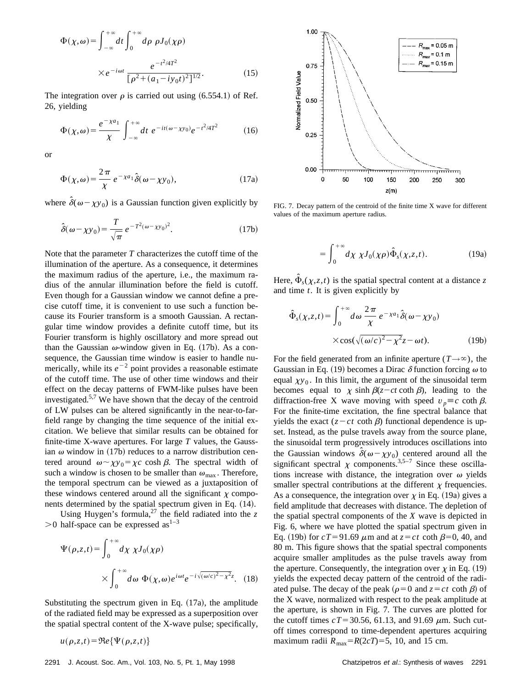$$
\Phi(\chi,\omega) = \int_{-\infty}^{+\infty} dt \int_{0}^{+\infty} d\rho \, \rho J_{0}(\chi\rho)
$$

$$
\times e^{-i\omega t} \frac{e^{-t^{2}/4T^{2}}}{\left[\rho^{2} + (a_{1} - iy_{0}t)^{2}\right]^{1/2}}.
$$
(15)

The integration over  $\rho$  is carried out using (6.554.1) of Ref. 26, yielding

$$
\Phi(\chi,\omega) = \frac{e^{-\chi a_1}}{\chi} \int_{-\infty}^{+\infty} dt \ e^{-it(\omega - \chi y_0)} e^{-t^2/4T^2} \tag{16}
$$

or

$$
\Phi(\chi,\omega) = \frac{2\,\pi}{\chi} \, e^{-\chi a_1} \hat{\delta}(\omega - \chi y_0),\tag{17a}
$$

where  $\hat{\delta}(\omega - \chi y_0)$  is a Gaussian function given explicitly by

$$
\hat{\delta}(\omega - \chi y_0) = \frac{T}{\sqrt{\pi}} e^{-T^2(\omega - \chi y_0)^2}.
$$
 (17b)

Note that the parameter *T* characterizes the cutoff time of the illumination of the aperture. As a consequence, it determines the maximum radius of the aperture, i.e., the maximum radius of the annular illumination before the field is cutoff. Even though for a Gaussian window we cannot define a precise cutoff time, it is convenient to use such a function because its Fourier transform is a smooth Gaussian. A rectangular time window provides a definite cutoff time, but its Fourier transform is highly oscillatory and more spread out than the Gaussian  $\omega$ -window given in Eq. (17b). As a consequence, the Gaussian time window is easier to handle numerically, while its  $e^{-2}$  point provides a reasonable estimate of the cutoff time. The use of other time windows and their effect on the decay patterns of FWM-like pulses have been investigated.<sup>5,7</sup> We have shown that the decay of the centroid of LW pulses can be altered significantly in the near-to-farfield range by changing the time sequence of the initial excitation. We believe that similar results can be obtained for finite-time X-wave apertures. For large *T* values, the Gaussian  $\omega$  window in (17b) reduces to a narrow distribution centered around  $\omega \sim \chi y_0 = \chi c \cosh \beta$ . The spectral width of such a window is chosen to be smaller than  $\omega_{\text{max}}$ . Therefore, the temporal spectrum can be viewed as a juxtaposition of these windows centered around all the significant  $\chi$  components determined by the spatial spectrum given in Eq.  $(14)$ .

Using Huygen's formula,<sup>27</sup> the field radiated into the  $z$  $>0$  half-space can be expressed as<sup>1–3</sup>

$$
\Psi(\rho, z, t) = \int_0^{+\infty} d\chi \, \chi J_0(\chi \rho)
$$

$$
\times \int_0^{+\infty} d\omega \, \Phi(\chi, \omega) e^{i\omega t} e^{-i\sqrt{(\omega/c)^2 - \chi^2} z} . \quad (18)
$$

Substituting the spectrum given in Eq.  $(17a)$ , the amplitude of the radiated field may be expressed as a superposition over the spatial spectral content of the X-wave pulse; specifically,

$$
u(\rho,z,t) = \Re e \{ \Psi(\rho,z,t) \}
$$



FIG. 7. Decay pattern of the centroid of the finite time X wave for different values of the maximum aperture radius.

$$
= \int_0^{+\infty} d\chi \, \chi J_0(\chi \rho) \hat{\Phi}_s(\chi, z, t). \tag{19a}
$$

Here,  $\Phi_s(\chi, z, t)$  is the spatial spectral content at a distance *z* and time *t*. It is given explicitly by

$$
\hat{\Phi}_s(\chi, z, t) = \int_0^{+\infty} d\omega \frac{2\pi}{\chi} e^{-\chi a_1} \hat{\delta}(\omega - \chi y_0)
$$
  
 
$$
\times \cos(\sqrt{(\omega/c)^2 - \chi^2} z - \omega t).
$$
 (19b)

For the field generated from an infinite aperture  $(T \rightarrow \infty)$ , the Gaussian in Eq. (19) becomes a Dirac  $\delta$  function forcing  $\omega$  to equal  $\chi y_0$ . In this limit, the argument of the sinusoidal term becomes equal to  $\chi$  sinh  $\beta(z-ct \coth \beta)$ , leading to the diffraction-free X wave moving with speed  $v_p \equiv c \coth \beta$ . For the finite-time excitation, the fine spectral balance that yields the exact  $(z-ct \coth \beta)$  functional dependence is upset. Instead, as the pulse travels away from the source plane, the sinusoidal term progressively introduces oscillations into the Gaussian windows  $\hat{\delta}(\omega - \chi y_0)$  centered around all the significant spectral  $\chi$  components.<sup>3,5-7</sup> Since these oscillations increase with distance, the integration over  $\omega$  yields smaller spectral contributions at the different  $\chi$  frequencies. As a consequence, the integration over  $\chi$  in Eq. (19a) gives a field amplitude that decreases with distance. The depletion of the spatial spectral components of the *X* wave is depicted in Fig. 6, where we have plotted the spatial spectrum given in Eq. (19b) for  $cT=91.69 \mu m$  and at  $z=ct$  coth  $\beta=0$ , 40, and 80 m. This figure shows that the spatial spectral components acquire smaller amplitudes as the pulse travels away from the aperture. Consequently, the integration over  $\chi$  in Eq. (19) yields the expected decay pattern of the centroid of the radiated pulse. The decay of the peak ( $\rho = 0$  and  $z = ct \coth \beta$ ) of the X wave, normalized with respect to the peak amplitude at the aperture, is shown in Fig. 7. The curves are plotted for the cutoff times  $cT=30.56$ , 61.13, and 91.69  $\mu$ m. Such cutoff times correspond to time-dependent apertures acquiring maximum radii  $R_{\text{max}}=R(2cT)=5$ , 10, and 15 cm.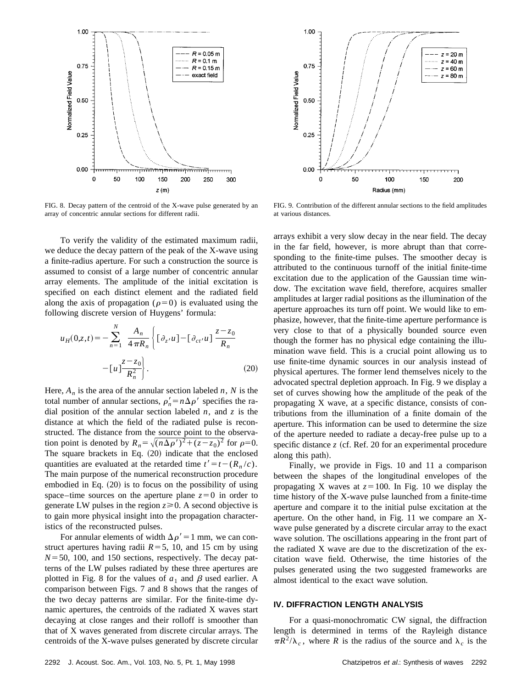

FIG. 8. Decay pattern of the centroid of the X-wave pulse generated by an array of concentric annular sections for different radii.

To verify the validity of the estimated maximum radii, we deduce the decay pattern of the peak of the X-wave using a finite-radius aperture. For such a construction the source is assumed to consist of a large number of concentric annular array elements. The amplitude of the initial excitation is specified on each distinct element and the radiated field along the axis of propagation ( $\rho=0$ ) is evaluated using the following discrete version of Huygens' formula:

$$
u_H(0, z, t) = -\sum_{n=1}^{N} \frac{A_n}{4 \pi R_n} \left\{ \left[ \partial_{z'} u \right] - \left[ \partial_{ct'} u \right] \frac{z - z_0}{R_n} - \left[ u \right] \frac{z - z_0}{R_n^2} \right\}.
$$
 (20)

Here,  $A_n$  is the area of the annular section labeled *n*, *N* is the total number of annular sections,  $\rho'_n = n \Delta \rho'$  specifies the radial position of the annular section labeled  $n$ , and  $z$  is the distance at which the field of the radiated pulse is reconstructed. The distance from the source point to the observation point is denoted by  $R_n = \sqrt{(n \Delta \rho')^2 + (z - z_0)^2}$  for  $\rho = 0$ . The square brackets in Eq.  $(20)$  indicate that the enclosed quantities are evaluated at the retarded time  $t' = t - (R_n/c)$ . The main purpose of the numerical reconstruction procedure embodied in Eq.  $(20)$  is to focus on the possibility of using space–time sources on the aperture plane  $z=0$  in order to generate LW pulses in the region  $z \ge 0$ . A second objective is to gain more physical insight into the propagation characteristics of the reconstructed pulses.

For annular elements of width  $\Delta \rho' = 1$  mm, we can construct apertures having radii  $R=5$ , 10, and 15 cm by using  $N=50$ , 100, and 150 sections, respectively. The decay patterns of the LW pulses radiated by these three apertures are plotted in Fig. 8 for the values of  $a_1$  and  $\beta$  used earlier. A comparison between Figs. 7 and 8 shows that the ranges of the two decay patterns are similar. For the finite-time dynamic apertures, the centroids of the radiated X waves start decaying at close ranges and their rolloff is smoother than that of X waves generated from discrete circular arrays. The centroids of the X-wave pulses generated by discrete circular



FIG. 9. Contribution of the different annular sections to the field amplitudes at various distances.

arrays exhibit a very slow decay in the near field. The decay in the far field, however, is more abrupt than that corresponding to the finite-time pulses. The smoother decay is attributed to the continuous turnoff of the initial finite-time excitation due to the application of the Gaussian time window. The excitation wave field, therefore, acquires smaller amplitudes at larger radial positions as the illumination of the aperture approaches its turn off point. We would like to emphasize, however, that the finite-time aperture performance is very close to that of a physically bounded source even though the former has no physical edge containing the illumination wave field. This is a crucial point allowing us to use finite-time dynamic sources in our analysis instead of physical apertures. The former lend themselves nicely to the advocated spectral depletion approach. In Fig. 9 we display a set of curves showing how the amplitude of the peak of the propagating X wave, at a specific distance, consists of contributions from the illumination of a finite domain of the aperture. This information can be used to determine the size of the aperture needed to radiate a decay-free pulse up to a specific distance  $z$  (cf. Ref. 20 for an experimental procedure along this path).

Finally, we provide in Figs. 10 and 11 a comparison between the shapes of the longitudinal envelopes of the propagating X waves at  $z=100$ . In Fig. 10 we display the time history of the X-wave pulse launched from a finite-time aperture and compare it to the initial pulse excitation at the aperture. On the other hand, in Fig. 11 we compare an Xwave pulse generated by a discrete circular array to the exact wave solution. The oscillations appearing in the front part of the radiated X wave are due to the discretization of the excitation wave field. Otherwise, the time histories of the pulses generated using the two suggested frameworks are almost identical to the exact wave solution.

#### **IV. DIFFRACTION LENGTH ANALYSIS**

For a quasi-monochromatic CW signal, the diffraction length is determined in terms of the Rayleigh distance  $\pi R^2/\lambda_c$ , where *R* is the radius of the source and  $\lambda_c$  is the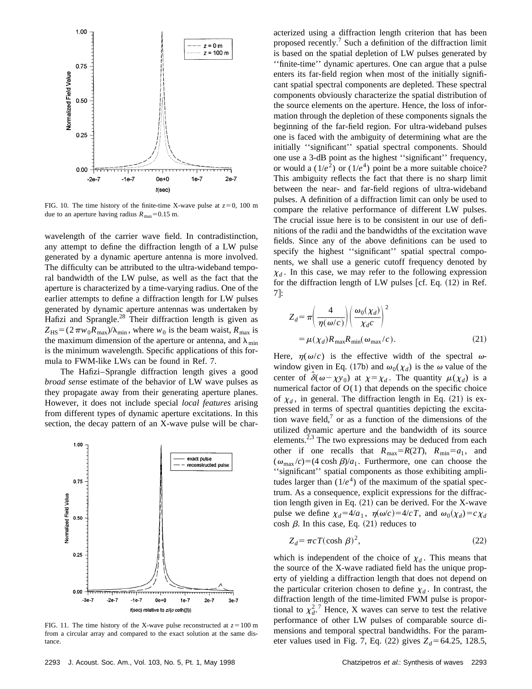

FIG. 10. The time history of the finite-time X-wave pulse at  $z=0$ , 100 m due to an aperture having radius  $R_{\text{max}}=0.15 \text{ m}$ .

wavelength of the carrier wave field. In contradistinction, any attempt to define the diffraction length of a LW pulse generated by a dynamic aperture antenna is more involved. The difficulty can be attributed to the ultra-wideband temporal bandwidth of the LW pulse, as well as the fact that the aperture is characterized by a time-varying radius. One of the earlier attempts to define a diffraction length for LW pulses generated by dynamic aperture antennas was undertaken by Hafizi and Sprangle.<sup>28</sup> Their diffraction length is given as  $Z_{\text{HS}} = (2 \pi w_0 R_{\text{max}})/\lambda_{\text{min}}$ , where *w*<sub>0</sub> is the beam waist, *R*<sub>max</sub> is the maximum dimension of the aperture or antenna, and  $\lambda_{\min}$ is the minimum wavelength. Specific applications of this formula to FWM-like LWs can be found in Ref. 7.

The Hafizi–Sprangle diffraction length gives a good *broad sense* estimate of the behavior of LW wave pulses as they propagate away from their generating aperture planes. However, it does not include special *local features* arising from different types of dynamic aperture excitations. In this section, the decay pattern of an X-wave pulse will be char-



FIG. 11. The time history of the X-wave pulse reconstructed at  $z=100$  m from a circular array and compared to the exact solution at the same distance.

acterized using a diffraction length criterion that has been proposed recently.7 Such a definition of the diffraction limit is based on the spatial depletion of LW pulses generated by ''finite-time'' dynamic apertures. One can argue that a pulse enters its far-field region when most of the initially significant spatial spectral components are depleted. These spectral components obviously characterize the spatial distribution of the source elements on the aperture. Hence, the loss of information through the depletion of these components signals the beginning of the far-field region. For ultra-wideband pulses one is faced with the ambiguity of determining what are the initially ''significant'' spatial spectral components. Should one use a 3-dB point as the highest ''significant'' frequency, or would a  $(1/e^2)$  or  $(1/e^4)$  point be a more suitable choice? This ambiguity reflects the fact that there is no sharp limit between the near- and far-field regions of ultra-wideband pulses. A definition of a diffraction limit can only be used to compare the relative performance of different LW pulses. The crucial issue here is to be consistent in our use of definitions of the radii and the bandwidths of the excitation wave fields. Since any of the above definitions can be used to specify the highest ''significant'' spatial spectral components, we shall use a generic cutoff frequency denoted by  $\chi_d$ . In this case, we may refer to the following expression for the diffraction length of LW pulses [cf. Eq.  $(12)$  in Ref.  $7$ :

$$
Z_d = \pi \left( \frac{4}{\eta(\omega/c)} \right) \left( \frac{\omega_0(\chi_d)}{\chi_d c} \right)^2
$$
  
=  $\mu(\chi_d) R_{\text{max}} R_{\text{min}}(\omega_{\text{max}}/c).$  (21)

Here,  $\eta(\omega/c)$  is the effective width of the spectral  $\omega$ window given in Eq. (17b) and  $\omega_0(\chi_d)$  is the  $\omega$  value of the center of  $\hat{\delta}(\omega - \chi y_0)$  at  $\chi = \chi_d$ . The quantity  $\mu(\chi_d)$  is a numerical factor of  $O(1)$  that depends on the specific choice of  $\chi_d$ , in general. The diffraction length in Eq. (21) is expressed in terms of spectral quantities depicting the excitation wave field, $\alpha$  or as a function of the dimensions of the utilized dynamic aperture and the bandwidth of its source elements. $2,3$  The two expressions may be deduced from each other if one recalls that  $R_{\text{max}}=R(2T)$ ,  $R_{\text{min}}=a_1$ , and  $(\omega_{\text{max}}/c)$ =(4 cosh  $\beta$ )/ $a_1$ . Furthermore, one can choose the ''significant'' spatial components as those exhibiting amplitudes larger than  $(1/e<sup>4</sup>)$  of the maximum of the spatial spectrum. As a consequence, explicit expressions for the diffraction length given in Eq.  $(21)$  can be derived. For the X-wave pulse we define  $\chi_d = 4/a_1$ ,  $\eta(\omega/c) = 4/cT$ , and  $\omega_0(\chi_d) = c\chi_d$ cosh  $\beta$ . In this case, Eq. (21) reduces to

$$
Z_d = \pi c T(\cosh \beta)^2, \tag{22}
$$

which is independent of the choice of  $\chi_d$ . This means that the source of the X-wave radiated field has the unique property of yielding a diffraction length that does not depend on the particular criterion chosen to define  $\chi_d$ . In contrast, the diffraction length of the time-limited FWM pulse is proportional to  $\chi_d^2$ .<sup>7</sup> Hence, X waves can serve to test the relative performance of other LW pulses of comparable source dimensions and temporal spectral bandwidths. For the parameter values used in Fig. 7, Eq.  $(22)$  gives  $Z_d = 64.25, 128.5,$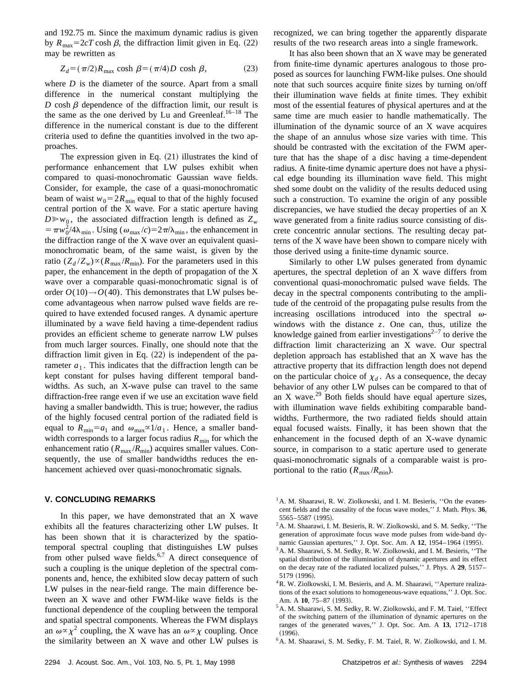and 192.75 m. Since the maximum dynamic radius is given by  $R_{\text{max}}=2cT \cosh \beta$ , the diffraction limit given in Eq. (22) may be rewritten as

$$
Z_d = (\pi/2)R_{\text{max}} \cosh \beta = (\pi/4)D \cosh \beta, \qquad (23)
$$

where *D* is the diameter of the source. Apart from a small difference in the numerical constant multiplying the *D* cosh  $\beta$  dependence of the diffraction limit, our result is the same as the one derived by Lu and Greenleaf. $16-18$  The difference in the numerical constant is due to the different criteria used to define the quantities involved in the two approaches.

The expression given in Eq.  $(21)$  illustrates the kind of performance enhancement that LW pulses exhibit when compared to quasi-monochromatic Gaussian wave fields. Consider, for example, the case of a quasi-monochromatic beam of waist  $w_0=2R_{\text{min}}$  equal to that of the highly focused central portion of the X wave. For a static aperture having  $D \gg w_0$ , the associated diffraction length is defined as  $Z_w$  $= \pi w_0^2/4\lambda_{\min}$ . Using ( $\omega_{\max}/c = 2\pi/\lambda_{\min}$ , the enhancement in the diffraction range of the X wave over an equivalent quasimonochromatic beam, of the same waist, is given by the ratio  $(Z_d/Z_w) \propto (R_{\text{max}}/R_{\text{min}})$ . For the parameters used in this paper, the enhancement in the depth of propagation of the X wave over a comparable quasi-monochromatic signal is of order  $O(10) \rightarrow O(40)$ . This demonstrates that LW pulses become advantageous when narrow pulsed wave fields are required to have extended focused ranges. A dynamic aperture illuminated by a wave field having a time-dependent radius provides an efficient scheme to generate narrow LW pulses from much larger sources. Finally, one should note that the diffraction limit given in Eq.  $(22)$  is independent of the parameter  $a_1$ . This indicates that the diffraction length can be kept constant for pulses having different temporal bandwidths. As such, an X-wave pulse can travel to the same diffraction-free range even if we use an excitation wave field having a smaller bandwidth. This is true; however, the radius of the highly focused central portion of the radiated field is equal to  $R_{\text{min}}=a_1$  and  $\omega_{\text{max}}\propto 1/a_1$ . Hence, a smaller bandwidth corresponds to a larger focus radius  $R_{\text{min}}$  for which the enhancement ratio ( $R_{\text{max}}/R_{\text{min}}$ ) acquires smaller values. Consequently, the use of smaller bandwidths reduces the enhancement achieved over quasi-monochromatic signals.

## **V. CONCLUDING REMARKS**

In this paper, we have demonstrated that an X wave exhibits all the features characterizing other LW pulses. It has been shown that it is characterized by the spatiotemporal spectral coupling that distinguishes LW pulses from other pulsed wave fields.<sup>6,7</sup> A direct consequence of such a coupling is the unique depletion of the spectral components and, hence, the exhibited slow decay pattern of such LW pulses in the near-field range. The main difference between an X wave and other FWM-like wave fields is the functional dependence of the coupling between the temporal and spatial spectral components. Whereas the FWM displays an  $\omega \propto \chi^2$  coupling, the X wave has an  $\omega \propto \chi$  coupling. Once the similarity between an X wave and other LW pulses is recognized, we can bring together the apparently disparate results of the two research areas into a single framework.

It has also been shown that an X wave may be generated from finite-time dynamic apertures analogous to those proposed as sources for launching FWM-like pulses. One should note that such sources acquire finite sizes by turning on/off their illumination wave fields at finite times. They exhibit most of the essential features of physical apertures and at the same time are much easier to handle mathematically. The illumination of the dynamic source of an X wave acquires the shape of an annulus whose size varies with time. This should be contrasted with the excitation of the FWM aperture that has the shape of a disc having a time-dependent radius. A finite-time dynamic aperture does not have a physical edge bounding its illumination wave field. This might shed some doubt on the validity of the results deduced using such a construction. To examine the origin of any possible discrepancies, we have studied the decay properties of an X wave generated from a finite radius source consisting of discrete concentric annular sections. The resulting decay patterns of the X wave have been shown to compare nicely with those derived using a finite-time dynamic source.

Similarly to other LW pulses generated from dynamic apertures, the spectral depletion of an X wave differs from conventional quasi-monochromatic pulsed wave fields. The decay in the spectral components contributing to the amplitude of the centroid of the propagating pulse results from the increasing oscillations introduced into the spectral  $\omega$ windows with the distance *z*. One can, thus, utilize the knowledge gained from earlier investigations $2^{-7}$  to derive the diffraction limit characterizing an X wave. Our spectral depletion approach has established that an X wave has the attractive property that its diffraction length does not depend on the particular choice of  $\chi_d$ . As a consequence, the decay behavior of any other LW pulses can be compared to that of an X wave. $^{29}$  Both fields should have equal aperture sizes, with illumination wave fields exhibiting comparable bandwidths. Furthermore, the two radiated fields should attain equal focused waists. Finally, it has been shown that the enhancement in the focused depth of an X-wave dynamic source, in comparison to a static aperture used to generate quasi-monochromatic signals of a comparable waist is proportional to the ratio  $(R_{\text{max}}/R_{\text{min}})$ .

- <sup>1</sup>A. M. Shaarawi, R. W. Ziolkowski, and I. M. Besieris, "On the evanescent fields and the causality of the focus wave modes,'' J. Math. Phys. **36**, 5565–5587 (1995).
- <sup>2</sup>A. M. Shaarawi, I. M. Besieris, R. W. Ziolkowski, and S. M. Sedky, "The generation of approximate focus wave mode pulses from wide-band dynamic Gaussian apertures," J. Opt. Soc. Am. A 12, 1954-1964 (1995).
- <sup>3</sup> A. M. Shaarawi, S. M. Sedky, R. W. Ziolkowski, and I. M. Besieris, "The spatial distribution of the illumination of dynamic apertures and its effect on the decay rate of the radiated localized pulses,'' J. Phys. A **29**, 5157– 5179 (1996).
- ${}^{4}R$ . W. Ziolkowski, I. M. Besieris, and A. M. Shaarawi, "Aperture realizations of the exact solutions to homogeneous-wave equations,'' J. Opt. Soc. Am. A 10, 75–87 (1993).
- <sup>5</sup> A. M. Shaarawi, S. M. Sedky, R. W. Ziolkowski, and F. M. Taiel, "Effect of the switching pattern of the illumination of dynamic apertures on the ranges of the generated waves,'' J. Opt. Soc. Am. A **13**, 1712–1718  $(1996).$
- 6A. M. Shaarawi, S. M. Sedky, F. M. Taiel, R. W. Ziolkowski, and I. M.